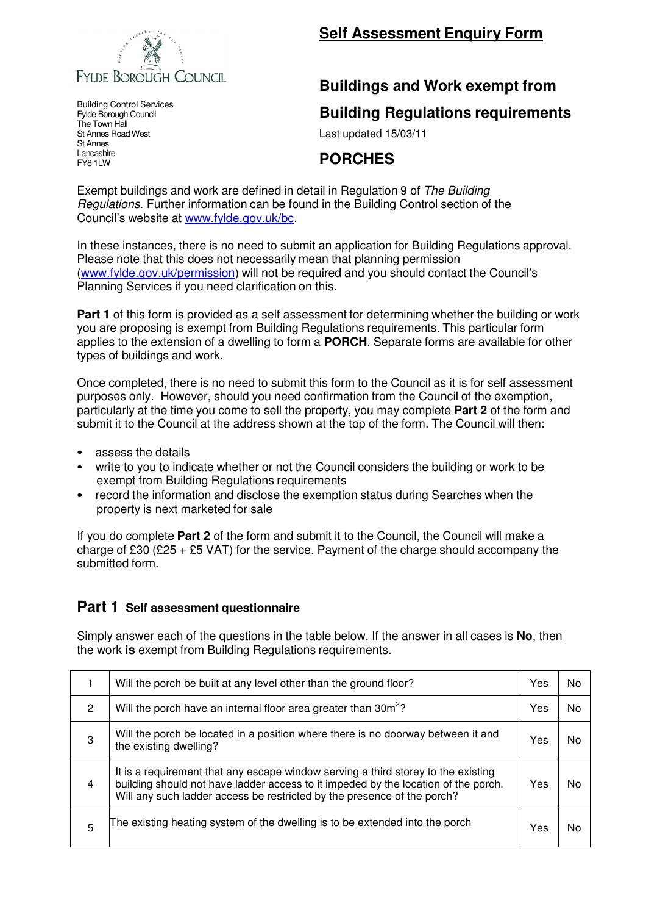

# **Self Assessment Enquiry Form**

# **Buildings and Work exempt from**

#### **Building Regulations requirements**

Last updated 15/03/11

## **PORCHES**

Exempt buildings and work are defined in detail in Regulation 9 of The Building Regulations. Further information can be found in the Building Control section of the Council's website at www.fylde.gov.uk/bc.

In these instances, there is no need to submit an application for Building Regulations approval. Please note that this does not necessarily mean that planning permission (www.fylde.gov.uk/permission) will not be required and you should contact the Council's Planning Services if you need clarification on this.

**Part 1** of this form is provided as a self assessment for determining whether the building or work you are proposing is exempt from Building Regulations requirements. This particular form applies to the extension of a dwelling to form a **PORCH**. Separate forms are available for other types of buildings and work.

Once completed, there is no need to submit this form to the Council as it is for self assessment purposes only. However, should you need confirmation from the Council of the exemption, particularly at the time you come to sell the property, you may complete **Part 2** of the form and submit it to the Council at the address shown at the top of the form. The Council will then:

- assess the details
- write to you to indicate whether or not the Council considers the building or work to be exempt from Building Regulations requirements
- record the information and disclose the exemption status during Searches when the property is next marketed for sale

If you do complete **Part 2** of the form and submit it to the Council, the Council will make a charge of £30 (£25 + £5 VAT) for the service. Payment of the charge should accompany the submitted form.

#### **Part 1 Self assessment questionnaire**

Simply answer each of the questions in the table below. If the answer in all cases is **No**, then the work **is** exempt from Building Regulations requirements.

|                | Will the porch be built at any level other than the ground floor?                                                                                                                                                                                  | Yes | N٥ |
|----------------|----------------------------------------------------------------------------------------------------------------------------------------------------------------------------------------------------------------------------------------------------|-----|----|
| $\overline{2}$ | Will the porch have an internal floor area greater than 30m <sup>2</sup> ?                                                                                                                                                                         | Yes | No |
| 3              | Will the porch be located in a position where there is no doorway between it and<br>the existing dwelling?                                                                                                                                         | Yes | N٥ |
| 4              | It is a requirement that any escape window serving a third storey to the existing<br>building should not have ladder access to it impeded by the location of the porch.<br>Will any such ladder access be restricted by the presence of the porch? | Yes | N٥ |
| 5              | The existing heating system of the dwelling is to be extended into the porch                                                                                                                                                                       | Yes |    |

Building Control Services Fylde Borough Council The Town Hall St Annes Road West St Annes Lancashire FY8 1LW